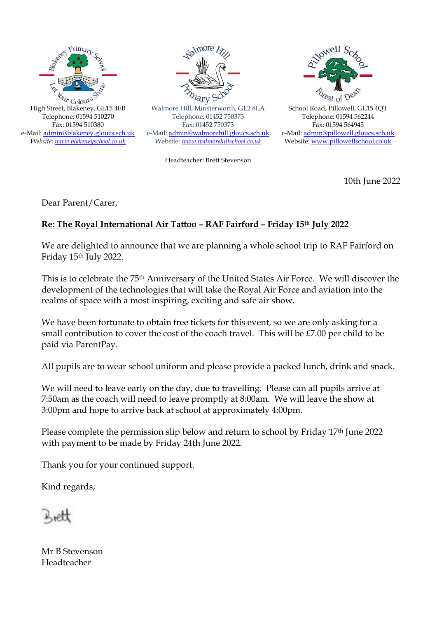



Walmore Hill, Minsterworth, GL2 8LA Telephone: 01452 750373 Fax: 01452 750373 e-Mail: [admin@walmorehill.gloucs.sch.uk](mailto:admin@walmorehill.gloucs.sch.uk) Website: *[www.walmorehillschool.co.uk](http://www.walmorehillschool.co.uk/)*

Headteacher: Brett Stevenson



School Road, Pillowell, GL15 4QT Telephone: 01594 562244 Fax: 01594 564945 e-Mail: [admin@pillowell.gloucs.sch.uk](mailto:admin@pillowell.gloucs.sch.uk) Website[: www.pillowellschool.co.uk](http://www.pillowellschool.co.uk/)

10th June 2022

Dear Parent/Carer,

## **Re: The Royal International Air Tattoo – RAF Fairford – Friday 15th July 2022**

We are delighted to announce that we are planning a whole school trip to RAF Fairford on Friday 15th July 2022.

This is to celebrate the 75th Anniversary of the United States Air Force. We will discover the development of the technologies that will take the Royal Air Force and aviation into the realms of space with a most inspiring, exciting and safe air show.

We have been fortunate to obtain free tickets for this event, so we are only asking for a small contribution to cover the cost of the coach travel. This will be  $£7.00$  per child to be paid via ParentPay.

All pupils are to wear school uniform and please provide a packed lunch, drink and snack.

We will need to leave early on the day, due to travelling. Please can all pupils arrive at 7:50am as the coach will need to leave promptly at 8:00am. We will leave the show at 3:00pm and hope to arrive back at school at approximately 4:00pm.

Please complete the permission slip below and return to school by Friday 17th June 2022 with payment to be made by Friday 24th June 2022.

Thank you for your continued support.

Kind regards,

Mr B Stevenson Headteacher